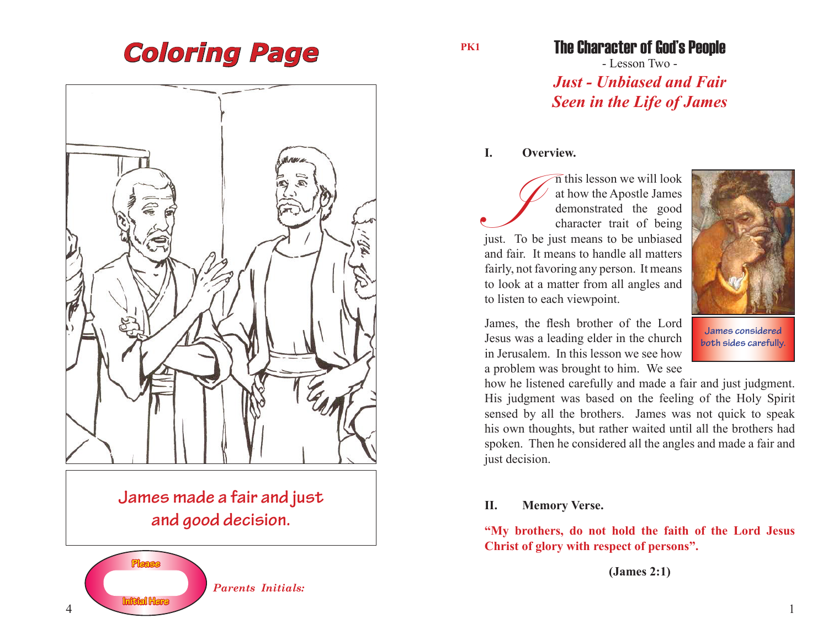# *Coloring Page*



*Parents Initials:*

**PK1**

### The Character of God's People

- Lesson Two - *Just - Unbiased and Fair Seen in the Life of James*

#### **I. Overview.**

I this lesson we will look<br>
at how the Apostle James<br>
demonstrated the good<br>
character trait of being<br>
just. To be just means to be unbiased at how the Apostle James demonstrated the good character trait of being and fair. It means to handle all matters fairly, not favoring any person. It means to look at a matter from all angles and to listen to each viewpoint.



James, the flesh brother of the Lord Jesus was a leading elder in the church in Jerusalem. In this lesson we see how a problem was brought to him. We see

**James considered both sides carefully.**

how he listened carefully and made a fair and just judgment. His judgment was based on the feeling of the Holy Spirit sensed by all the brothers. James was not quick to speak his own thoughts, but rather waited until all the brothers had spoken. Then he considered all the angles and made a fair and just decision.

#### **II. Memory Verse.**

**"My brothers, do not hold the faith of the Lord Jesus Christ of glory with respect of persons".**

**(James 2:1)**

**Initial Here**